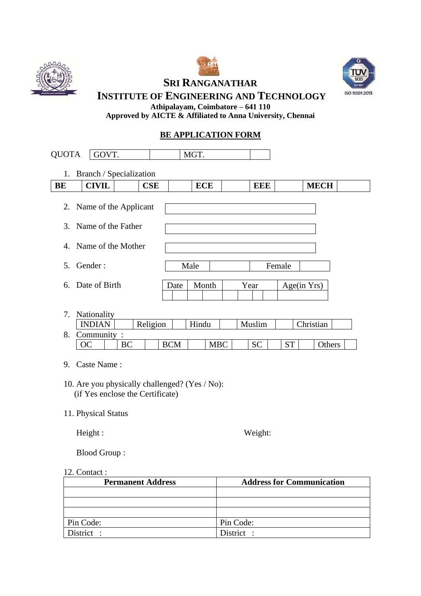





**SRI RANGANATHAR** 

**INSTITUTE OF ENGINEERING AND TECHNOLOGY Athipalayam, Coimbatore – 641 110**

**Approved by AICTE & Affiliated to Anna University, Chennai**

## **BE APPLICATION FORM**

| 1.<br>BE | Branch / Specialization<br><b>CIVIL</b> |    |          |            |            |            |            |           |             |             |  |
|----------|-----------------------------------------|----|----------|------------|------------|------------|------------|-----------|-------------|-------------|--|
|          |                                         |    | CSE      |            | <b>ECE</b> |            | <b>EEE</b> |           |             | <b>MECH</b> |  |
|          | 2. Name of the Applicant                |    |          |            |            |            |            |           |             |             |  |
| 3.       | Name of the Father                      |    |          |            |            |            |            |           |             |             |  |
| 4.       | Name of the Mother                      |    |          |            |            |            |            |           |             |             |  |
| 5.       | Gender:                                 |    |          |            | Male       |            |            | Female    |             |             |  |
| 6.       | Date of Birth                           |    |          | Date       | Month      |            | Year       |           | Age(in Yrs) |             |  |
| 7.       | Nationality                             |    |          |            |            |            |            |           |             |             |  |
|          | <b>INDIAN</b>                           |    | Religion |            | Hindu      |            | Muslim     |           | Christian   |             |  |
| 8.       | Community:<br>OC                        | BC |          | <b>BCM</b> |            | <b>MBC</b> | <b>SC</b>  | <b>ST</b> |             | Others      |  |

(if Yes enclose the Certificate)

11. Physical Status

Height : Weight:

Blood Group :

### 12. Contact :

| <b>Permanent Address</b> | <b>Address for Communication</b> |
|--------------------------|----------------------------------|
|                          |                                  |
|                          |                                  |
|                          |                                  |
| Pin Code:                | Pin Code:                        |
| District :               | District :                       |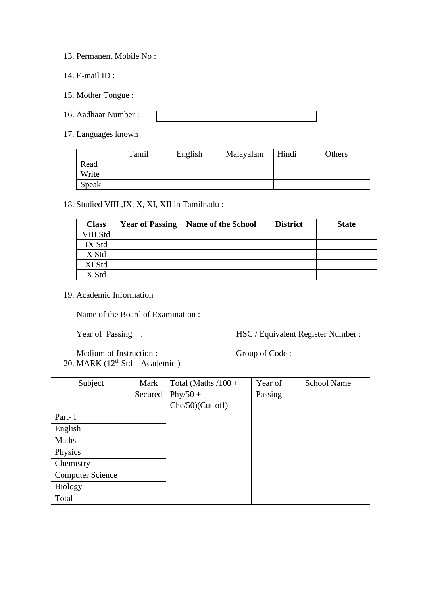- 13. Permanent Mobile No :
- 14. E-mail ID :
- 15. Mother Tongue :
- 16. Aadhaar Number :
- 17. Languages known

|       | Tamil | English | Malayalam | Hindi | Others |
|-------|-------|---------|-----------|-------|--------|
| Read  |       |         |           |       |        |
| Write |       |         |           |       |        |
| Speak |       |         |           |       |        |

#### 18. Studied VIII ,IX, X, XI, XII in Tamilnadu :

| <b>Class</b> | <b>Year of Passing</b> | <b>Name of the School</b> | <b>District</b> | <b>State</b> |
|--------------|------------------------|---------------------------|-----------------|--------------|
| VIII Std     |                        |                           |                 |              |
| IX Std       |                        |                           |                 |              |
| X Std        |                        |                           |                 |              |
| XI Std       |                        |                           |                 |              |
| X Std        |                        |                           |                 |              |

19. Academic Information

Name of the Board of Examination :

Year of Passing : HSC / Equivalent Register Number :

Medium of Instruction : Group of Code : 20. MARK  $(12<sup>th</sup> Std - Academic)$ 

Subject Mark Secured Total (Maths  $/100 +$  $Phy/50 +$ Che/50)(Cut-off) Year of Passing School Name Part- I English Maths Physics **Chemistry** Computer Science Biology Total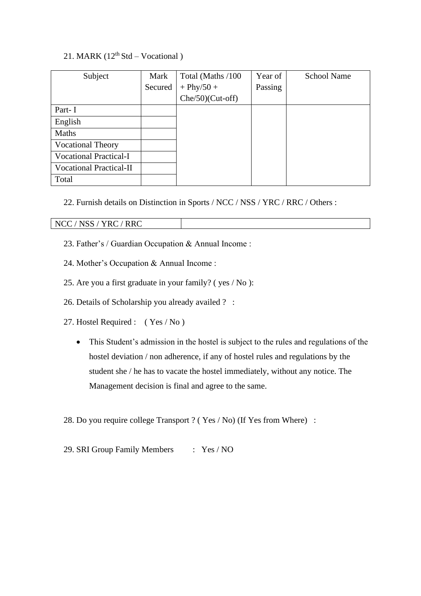# 21. MARK  $(12<sup>th</sup> Std - Vocational)$

| Subject                        | Mark    | Total (Maths /100   | Year of | <b>School Name</b> |
|--------------------------------|---------|---------------------|---------|--------------------|
|                                | Secured | $+$ Phy/50 +        | Passing |                    |
|                                |         | $Che/50)$ (Cut-off) |         |                    |
| Part-I                         |         |                     |         |                    |
| English                        |         |                     |         |                    |
| Maths                          |         |                     |         |                    |
| <b>Vocational Theory</b>       |         |                     |         |                    |
| <b>Vocational Practical-I</b>  |         |                     |         |                    |
| <b>Vocational Practical-II</b> |         |                     |         |                    |
| Total                          |         |                     |         |                    |

22. Furnish details on Distinction in Sports / NCC / NSS / YRC / RRC / Others :

NCC / NSS / YRC / RRC

- 23. Father's / Guardian Occupation & Annual Income :
- 24. Mother's Occupation & Annual Income :
- 25. Are you a first graduate in your family? ( yes / No ):
- 26. Details of Scholarship you already availed ? :
- 27. Hostel Required : ( Yes / No )
	- This Student's admission in the hostel is subject to the rules and regulations of the hostel deviation / non adherence, if any of hostel rules and regulations by the student she / he has to vacate the hostel immediately, without any notice. The Management decision is final and agree to the same.
- 28. Do you require college Transport ? ( Yes / No) (If Yes from Where) :
- 29. SRI Group Family Members : Yes / NO